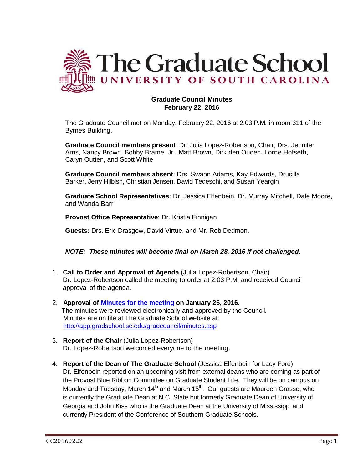

# **Graduate Council Minutes February 22, 2016**

The Graduate Council met on Monday, February 22, 2016 at 2:03 P.M. in room 311 of the Byrnes Building.

**Graduate Council members present**: Dr. Julia Lopez-Robertson, Chair; Drs. Jennifer Arns, Nancy Brown, Bobby Brame, Jr., Matt Brown, Dirk den Ouden, Lorne Hofseth, Caryn Outten, and Scott White

**Graduate Council members absent**: Drs. Swann Adams, Kay Edwards, Drucilla Barker, Jerry Hilbish, Christian Jensen, David Tedeschi, and Susan Yeargin

**Graduate School Representatives**: Dr. Jessica Elfenbein, Dr. Murray Mitchell, Dale Moore, and Wanda Barr

**Provost Office Representative**: Dr. Kristia Finnigan

**Guests:** Drs. Eric Drasgow, David Virtue, and Mr. Rob Dedmon.

*NOTE: These minutes will become final on March 28, 2016 if not challenged.*

- 1. **Call to Order and Approval of Agenda** (Julia Lopez-Robertson, Chair) Dr. Lopez-Robertson called the meeting to order at 2:03 P.M. and received Council approval of the agenda.
- 2. **Approval of [Minutes](http://gradschool.sc.edu/facstaff/gradcouncil/2015/GC%20AGENDA%20December%2014,%202015.pdf) for the meeting on January 25, 2016.**  The minutes were reviewed electronically and approved by the Council. Minutes are on file at The Graduate School website at: <http://app.gradschool.sc.edu/gradcouncil/minutes.asp>
- 3. **Report of the Chair** (Julia Lopez-Robertson) Dr. Lopez-Robertson welcomed everyone to the meeting.
- 4. **Report of the Dean of The Graduate School** (Jessica Elfenbein for Lacy Ford) Dr. Elfenbein reported on an upcoming visit from external deans who are coming as part of the Provost Blue Ribbon Committee on Graduate Student Life. They will be on campus on Monday and Tuesday, March 14<sup>th</sup> and March 15<sup>th</sup>. Our guests are Maureen Grasso, who is currently the Graduate Dean at N.C. State but formerly Graduate Dean of University of Georgia and John Kiss who is the Graduate Dean at the University of Mississippi and currently President of the Conference of Southern Graduate Schools.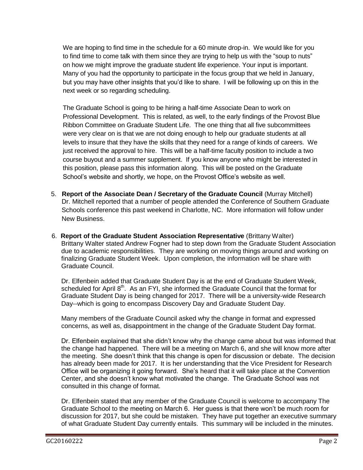We are hoping to find time in the schedule for a 60 minute drop-in. We would like for you to find time to come talk with them since they are trying to help us with the "soup to nuts" on how we might improve the graduate student life experience. Your input is important. Many of you had the opportunity to participate in the focus group that we held in January, but you may have other insights that you'd like to share. I will be following up on this in the next week or so regarding scheduling.

The Graduate School is going to be hiring a half-time Associate Dean to work on Professional Development. This is related, as well, to the early findings of the Provost Blue Ribbon Committee on Graduate Student Life. The one thing that all five subcommittees were very clear on is that we are not doing enough to help our graduate students at all levels to insure that they have the skills that they need for a range of kinds of careers. We just received the approval to hire. This will be a half-time faculty position to include a two course buyout and a summer supplement. If you know anyone who might be interested in this position, please pass this information along. This will be posted on the Graduate School's website and shortly, we hope, on the Provost Office's website as well.

- 5. **Report of the Associate Dean / Secretary of the Graduate Council** (Murray Mitchell) Dr. Mitchell reported that a number of people attended the Conference of Southern Graduate Schools conference this past weekend in Charlotte, NC. More information will follow under New Business.
- 6. **Report of the Graduate Student Association Representative** (Brittany Walter) Brittany Walter stated Andrew Fogner had to step down from the Graduate Student Association due to academic responsibilities. They are working on moving things around and working on finalizing Graduate Student Week. Upon completion, the information will be share with Graduate Council.

Dr. Elfenbein added that Graduate Student Day is at the end of Graduate Student Week, scheduled for April  $8<sup>th</sup>$ . As an FYI, she informed the Graduate Council that the format for Graduate Student Day is being changed for 2017. There will be a university-wide Research Day--which is going to encompass Discovery Day and Graduate Student Day.

Many members of the Graduate Council asked why the change in format and expressed concerns, as well as, disappointment in the change of the Graduate Student Day format.

Dr. Elfenbein explained that she didn't know why the change came about but was informed that the change had happened. There will be a meeting on March 6, and she will know more after the meeting. She doesn't think that this change is open for discussion or debate. The decision has already been made for 2017. It is her understanding that the Vice President for Research Office will be organizing it going forward. She's heard that it will take place at the Convention Center, and she doesn't know what motivated the change. The Graduate School was not consulted in this change of format.

Dr. Elfenbein stated that any member of the Graduate Council is welcome to accompany The Graduate School to the meeting on March 6. Her guess is that there won't be much room for discussion for 2017, but she could be mistaken. They have put together an executive summary of what Graduate Student Day currently entails. This summary will be included in the minutes.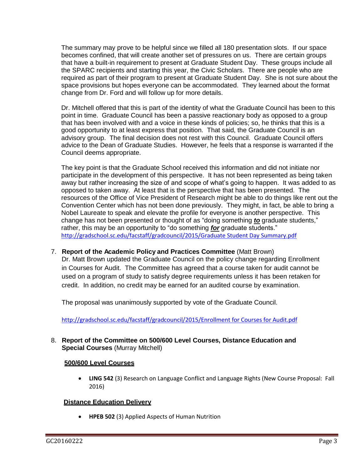The summary may prove to be helpful since we filled all 180 presentation slots. If our space becomes confined, that will create another set of pressures on us. There are certain groups that have a built-in requirement to present at Graduate Student Day. These groups include all the SPARC recipients and starting this year, the Civic Scholars. There are people who are required as part of their program to present at Graduate Student Day. She is not sure about the space provisions but hopes everyone can be accommodated. They learned about the format change from Dr. Ford and will follow up for more details.

Dr. Mitchell offered that this is part of the identity of what the Graduate Council has been to this point in time. Graduate Council has been a passive reactionary body as opposed to a group that has been involved with and a voice in these kinds of policies; so, he thinks that this is a good opportunity to at least express that position. That said, the Graduate Council is an advisory group. The final decision does not rest with this Council. Graduate Council offers advice to the Dean of Graduate Studies. However, he feels that a response is warranted if the Council deems appropriate.

The key point is that the Graduate School received this information and did not initiate nor participate in the development of this perspective. It has not been represented as being taken away but rather increasing the size of and scope of what's going to happen. It was added to as opposed to taken away. At least that is the perspective that has been presented. The resources of the Office of Vice President of Research might be able to do things like rent out the Convention Center which has not been done previously. They might, in fact, be able to bring a Nobel Laureate to speak and elevate the profile for everyone is another perspective. This change has not been presented or thought of as "doing something *to* graduate students," rather, this may be an opportunity to "do something *for* graduate students." [http://gradschool.sc.edu/facstaff/gradcouncil/2015/Graduate Student Day Summary.pdf](http://gradschool.sc.edu/facstaff/gradcouncil/2015/Graduate%20Student%20Day%20Summary.pdf)

7. **Report of the Academic Policy and Practices Committee** (Matt Brown)

Dr. Matt Brown updated the Graduate Council on the policy change regarding Enrollment in Courses for Audit. The Committee has agreed that a course taken for audit cannot be used on a program of study to satisfy degree requirements unless it has been retaken for credit. In addition, no credit may be earned for an audited course by examination.

The proposal was unanimously supported by vote of the Graduate Council.

[http://gradschool.sc.edu/facstaff/gradcouncil/2015/Enrollment for Courses for Audit.pdf](http://gradschool.sc.edu/facstaff/gradcouncil/2015/Enrollment%20for%20Courses%20for%20Audit.pdf)

8. **Report of the Committee on 500/600 Level Courses, Distance Education and Special Courses** (Murray Mitchell)

# **500/600 Level Courses**

 **LING 542** (3) Research on Language Conflict and Language Rights (New Course Proposal: Fall 2016)

## **Distance Education Delivery**

**HPEB 502** (3) Applied Aspects of Human Nutrition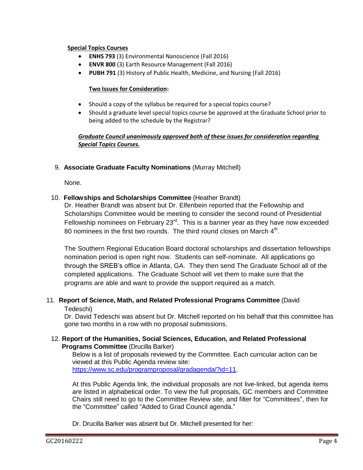## **Special Topics Courses**

- **ENHS 793** (3) Environmental Nanoscience (Fall 2016)
- **ENVR 800** (3) Earth Resource Management (Fall 2016)
- **PUBH 791** (3) History of Public Health, Medicine, and Nursing (Fall 2016)

#### **Two Issues for Consideration:**

- Should a copy of the syllabus be required for a special topics course?
- Should a graduate level special topics course be approved at the Graduate School prior to being added to the schedule by the Registrar?

## *Graduate Council unanimously approved both of these issues for consideration regarding Special Topics Courses.*

9. **Associate Graduate Faculty Nominations** (Murray Mitchell)

None.

## 10. **Fellowships and Scholarships Committee** (Heather Brandt)

Dr. Heather Brandt was absent but Dr. Elfenbein reported that the Fellowship and Scholarships Committee would be meeting to consider the second round of Presidential Fellowship nominees on February  $23^{\text{rd}}$ . This is a banner year as they have now exceeded 80 nominees in the first two rounds. The third round closes on March  $4<sup>th</sup>$ .

The Southern Regional Education Board doctoral scholarships and dissertation fellowships nomination period is open right now. Students can self-nominate. All applications go through the SREB's office in Atlanta, GA. They then send The Graduate School all of the completed applications. The Graduate School will vet them to make sure that the programs are able and want to provide the support required as a match.

# 11. **Report of Science, Math, and Related Professional Programs Committee** (David

#### Tedeschi)

Dr. David Tedeschi was absent but Dr. Mitchell reported on his behalf that this committee has gone two months in a row with no proposal submissions.

## 12. **Report of the Humanities, Social Sciences, Education, and Related Professional Programs Committee** (Drucilla Barker)

Below is a list of proposals reviewed by the Committee. Each curricular action can be viewed at this Public Agenda review site: [https://www.sc.edu/programproposal/gradagenda/?id=11.](https://www.sc.edu/programproposal/gradagenda/?id=11)

At this Public Agenda link, the individual proposals are not live-linked, but agenda items are listed in alphabetical order. To view the full proposals, GC members and Committee Chairs still need to go to the Committee Review site, and filter for "Committees", then for the "Committee" called "Added to Grad Council agenda."

Dr. Drucilla Barker was absent but Dr. Mitchell presented for her: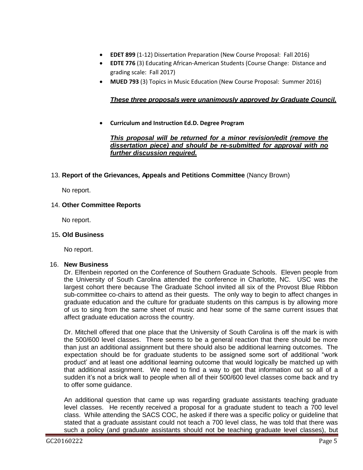- **EDET 899** (1-12) Dissertation Preparation (New Course Proposal: Fall 2016)
- **EDTE 776** (3) Educating African-American Students (Course Change: Distance and grading scale: Fall 2017)
- **MUED 793** (3) Topics in Music Education (New Course Proposal: Summer 2016)

# *These three proposals were unanimously approved by Graduate Council.*

**Curriculum and Instruction Ed.D. Degree Program** 

*This proposal will be returned for a minor revision/edit (remove the dissertation piece) and should be re-submitted for approval with no further discussion required.*

13. **Report of the Grievances, Appeals and Petitions Committee** (Nancy Brown)

No report.

## 14. **Other Committee Reports**

No report.

## 15**. Old Business**

No report.

#### 16. **New Business**

Dr. Elfenbein reported on the Conference of Southern Graduate Schools. Eleven people from the University of South Carolina attended the conference in Charlotte, NC. USC was the largest cohort there because The Graduate School invited all six of the Provost Blue Ribbon sub-committee co-chairs to attend as their guests. The only way to begin to affect changes in graduate education and the culture for graduate students on this campus is by allowing more of us to sing from the same sheet of music and hear some of the same current issues that affect graduate education across the country.

Dr. Mitchell offered that one place that the University of South Carolina is off the mark is with the 500/600 level classes. There seems to be a general reaction that there should be more than just an additional assignment but there should also be additional learning outcomes. The expectation should be for graduate students to be assigned some sort of additional "work product' and at least one additional learning outcome that would logically be matched up with that additional assignment. We need to find a way to get that information out so all of a sudden it's not a brick wall to people when all of their 500/600 level classes come back and try to offer some guidance.

An additional question that came up was regarding graduate assistants teaching graduate level classes. He recently received a proposal for a graduate student to teach a 700 level class. While attending the SACS COC, he asked if there was a specific policy or guideline that stated that a graduate assistant could not teach a 700 level class, he was told that there was such a policy (and graduate assistants should not be teaching graduate level classes), but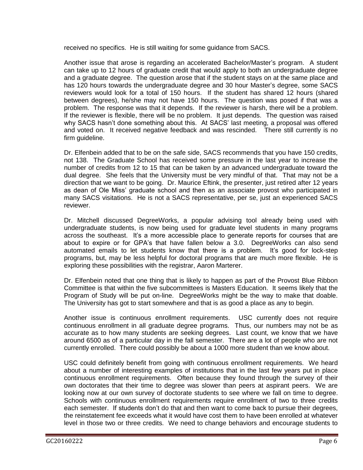received no specifics. He is still waiting for some guidance from SACS.

Another issue that arose is regarding an accelerated Bachelor/Master's program. A student can take up to 12 hours of graduate credit that would apply to both an undergraduate degree and a graduate degree. The question arose that if the student stays on at the same place and has 120 hours towards the undergraduate degree and 30 hour Master's degree, some SACS reviewers would look for a total of 150 hours. If the student has shared 12 hours (shared between degrees), he/she may not have 150 hours. The question was posed if that was a problem. The response was that it depends. If the reviewer is harsh, there will be a problem. If the reviewer is flexible, there will be no problem. It just depends. The question was raised why SACS hasn't done something about this. At SACS' last meeting, a proposal was offered and voted on. It received negative feedback and was rescinded. There still currently is no firm guideline.

Dr. Elfenbein added that to be on the safe side, SACS recommends that you have 150 credits, not 138. The Graduate School has received some pressure in the last year to increase the number of credits from 12 to 15 that can be taken by an advanced undergraduate toward the dual degree. She feels that the University must be very mindful of that. That may not be a direction that we want to be going. Dr. Maurice Eftink, the presenter, just retired after 12 years as dean of Ole Miss' graduate school and then as an associate provost who participated in many SACS visitations. He is not a SACS representative, per se, just an experienced SACS reviewer.

Dr. Mitchell discussed DegreeWorks, a popular advising tool already being used with undergraduate students, is now being used for graduate level students in many programs across the southeast. It's a more accessible place to generate reports for courses that are about to expire or for GPA's that have fallen below a 3.0. DegreeWorks can also send automated emails to let students know that there is a problem. It's good for lock-step programs, but, may be less helpful for doctoral programs that are much more flexible. He is exploring these possibilities with the registrar, Aaron Marterer.

Dr. Elfenbein noted that one thing that is likely to happen as part of the Provost Blue Ribbon Committee is that within the five subcommittees is Masters Education. It seems likely that the Program of Study will be put on-line. DegreeWorks might be the way to make that doable. The University has got to start somewhere and that is as good a place as any to begin.

Another issue is continuous enrollment requirements. USC currently does not require continuous enrollment in all graduate degree programs. Thus, our numbers may not be as accurate as to how many students are seeking degrees. Last count, we know that we have around 6500 as of a particular day in the fall semester. There are a lot of people who are not currently enrolled. There could possibly be about a 1000 more student than we know about.

USC could definitely benefit from going with continuous enrollment requirements. We heard about a number of interesting examples of institutions that in the last few years put in place continuous enrollment requirements. Often because they found through the survey of their own doctorates that their time to degree was slower than peers at aspirant peers. We are looking now at our own survey of doctorate students to see where we fall on time to degree. Schools with continuous enrollment requirements require enrollment of two to three credits each semester. If students don't do that and then want to come back to pursue their degrees, the reinstatement fee exceeds what it would have cost them to have been enrolled at whatever level in those two or three credits. We need to change behaviors and encourage students to